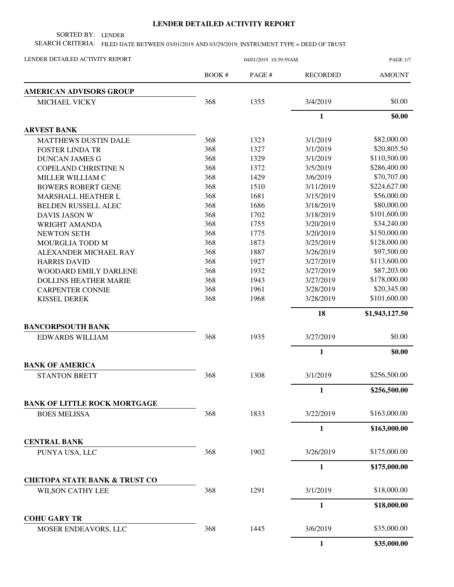## **LENDER DETAILED ACTIVITY REPORT**

SORTED BY: LENDER

SEARCH CRITERIA: FILED DATE BETWEEN 03/01/2019 AND 03/29/2019; INSTRUMENT TYPE = DEED OF TRUST

| LENDER DETAILED ACTIVITY REPORT             | 04/01/2019 10:39:59AM |       |                 | <b>PAGE 1/7</b> |
|---------------------------------------------|-----------------------|-------|-----------------|-----------------|
|                                             | <b>BOOK#</b>          | PAGE# | <b>RECORDED</b> | <b>AMOUNT</b>   |
| <b>AMERICAN ADVISORS GROUP</b>              |                       |       |                 |                 |
| MICHAEL VICKY                               | 368                   | 1355  | 3/4/2019        | \$0.00          |
|                                             |                       |       | $\mathbf{1}$    | \$0.00          |
| <b>ARVEST BANK</b>                          |                       |       |                 |                 |
| <b>MATTHEWS DUSTIN DALE</b>                 | 368                   | 1323  | 3/1/2019        | \$82,000.00     |
| <b>FOSTER LINDA TR</b>                      | 368                   | 1327  | 3/1/2019        | \$20,805.50     |
| <b>DUNCAN JAMES G</b>                       | 368                   | 1329  | 3/1/2019        | \$110,500.00    |
| <b>COPELAND CHRISTINE N</b>                 | 368                   | 1372  | 3/5/2019        | \$286,400.00    |
| MILLER WILLIAM C                            | 368                   | 1429  | 3/6/2019        | \$70,707.00     |
| <b>BOWERS ROBERT GENE</b>                   | 368                   | 1510  | 3/11/2019       | \$224,627.00    |
| MARSHALL HEATHER L                          | 368                   | 1681  | 3/15/2019       | \$56,000.00     |
| <b>BELDEN RUSSELL ALEC</b>                  | 368                   | 1686  | 3/18/2019       | \$80,000.00     |
| DAVIS JASON W                               | 368                   | 1702  | 3/18/2019       | \$101,600.00    |
| <b>WRIGHT AMANDA</b>                        | 368                   | 1755  | 3/20/2019       | \$34,240.00     |
| <b>NEWTON SETH</b>                          | 368                   | 1775  | 3/20/2019       | \$150,000.00    |
| MOURGLIA TODD M                             | 368                   | 1873  | 3/25/2019       | \$128,000.00    |
| ALEXANDER MICHAEL RAY                       | 368                   | 1887  | 3/26/2019       | \$97,500.00     |
| <b>HARRIS DAVID</b>                         | 368                   | 1927  | 3/27/2019       | \$113,600.00    |
| <b>WOODARD EMILY DARLENE</b>                | 368                   | 1932  | 3/27/2019       | \$87,203.00     |
| <b>DOLLINS HEATHER MARIE</b>                | 368                   | 1943  | 3/27/2019       | \$178,000.00    |
| <b>CARPENTER CONNIE</b>                     | 368                   | 1961  | 3/28/2019       | \$20,345.00     |
| <b>KISSEL DEREK</b>                         | 368                   | 1968  | 3/28/2019       | \$101,600.00    |
|                                             |                       |       | 18              | \$1,943,127.50  |
| <b>BANCORPSOUTH BANK</b>                    |                       |       |                 |                 |
| <b>EDWARDS WILLIAM</b>                      | 368                   | 1935  | 3/27/2019       | \$0.00          |
|                                             |                       |       | 1               | \$0.00          |
| <b>BANK OF AMERICA</b>                      |                       |       |                 |                 |
| <b>STANTON BRETT</b>                        | 368                   | 1308  | 3/1/2019        | \$256,500.00    |
|                                             |                       |       | 1               | \$256,500.00    |
| <b>BANK OF LITTLE ROCK MORTGAGE</b>         |                       |       |                 |                 |
| <b>BOES MELISSA</b>                         | 368                   | 1833  | 3/22/2019       | \$163,000.00    |
|                                             |                       |       | 1               | \$163,000.00    |
| <b>CENTRAL BANK</b>                         |                       |       |                 |                 |
| PUNYA USA, LLC                              | 368                   | 1902  | 3/26/2019       | \$175,000.00    |
|                                             |                       |       | $\mathbf{1}$    | \$175,000.00    |
| <b>CHETOPA STATE BANK &amp; TRUST CO</b>    |                       |       |                 |                 |
| WILSON CATHY LEE                            | 368                   | 1291  | 3/1/2019        | \$18,000.00     |
|                                             |                       |       | 1               | \$18,000.00     |
| <b>COHU GARY TR</b><br>MOSER ENDEAVORS, LLC | 368                   | 1445  | 3/6/2019        | \$35,000.00     |
|                                             |                       |       | $\mathbf{1}$    | \$35,000.00     |
|                                             |                       |       |                 |                 |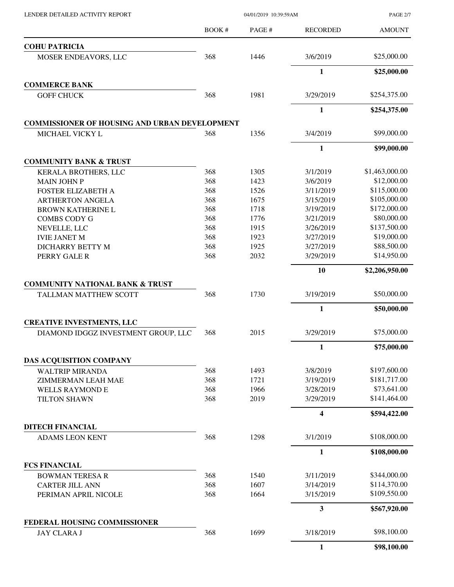PAGE 2/7

|                                                      | <b>BOOK#</b> | PAGE # | <b>RECORDED</b>         | <b>AMOUNT</b>  |
|------------------------------------------------------|--------------|--------|-------------------------|----------------|
| <b>COHU PATRICIA</b>                                 |              |        |                         |                |
| MOSER ENDEAVORS, LLC                                 | 368          | 1446   | 3/6/2019                | \$25,000.00    |
|                                                      |              |        | $\mathbf{1}$            | \$25,000.00    |
| <b>COMMERCE BANK</b>                                 |              |        |                         |                |
| <b>GOFF CHUCK</b>                                    | 368          | 1981   | 3/29/2019               | \$254,375.00   |
|                                                      |              |        | $\mathbf{1}$            | \$254,375.00   |
| <b>COMMISSIONER OF HOUSING AND URBAN DEVELOPMENT</b> |              |        |                         |                |
| MICHAEL VICKY L                                      | 368          | 1356   | 3/4/2019                | \$99,000.00    |
|                                                      |              |        | 1                       | \$99,000.00    |
| <b>COMMUNITY BANK &amp; TRUST</b>                    |              |        |                         |                |
| <b>KERALA BROTHERS, LLC</b>                          | 368          | 1305   | 3/1/2019                | \$1,463,000.00 |
| <b>MAIN JOHN P</b>                                   | 368          | 1423   | 3/6/2019                | \$12,000.00    |
| <b>FOSTER ELIZABETH A</b>                            | 368          | 1526   | 3/11/2019               | \$115,000.00   |
| <b>ARTHERTON ANGELA</b>                              | 368          | 1675   | 3/15/2019               | \$105,000.00   |
| <b>BROWN KATHERINE L</b>                             | 368          | 1718   | 3/19/2019               | \$172,000.00   |
| <b>COMBS CODY G</b>                                  | 368          | 1776   | 3/21/2019               | \$80,000.00    |
| NEVELLE, LLC                                         | 368          | 1915   | 3/26/2019               | \$137,500.00   |
| <b>IVIE JANET M</b>                                  | 368          | 1923   | 3/27/2019               | \$19,000.00    |
| <b>DICHARRY BETTY M</b>                              | 368          | 1925   | 3/27/2019               | \$88,500.00    |
| PERRY GALE R                                         | 368          | 2032   | 3/29/2019               | \$14,950.00    |
|                                                      |              |        | 10                      | \$2,206,950.00 |
| <b>COMMUNITY NATIONAL BANK &amp; TRUST</b>           |              |        |                         |                |
| TALLMAN MATTHEW SCOTT                                | 368          | 1730   | 3/19/2019               | \$50,000.00    |
|                                                      |              |        | 1                       | \$50,000.00    |
| <b>CREATIVE INVESTMENTS, LLC</b>                     |              |        |                         |                |
| DIAMOND IDGGZ INVESTMENT GROUP, LLC                  | 368          | 2015   | 3/29/2019               | \$75,000.00    |
|                                                      |              |        | 1                       | \$75,000.00    |
| <b>DAS ACQUISITION COMPANY</b>                       |              |        |                         |                |
| <b>WALTRIP MIRANDA</b>                               | 368          | 1493   | 3/8/2019                | \$197,600.00   |
| <b>ZIMMERMAN LEAH MAE</b>                            | 368          | 1721   | 3/19/2019               | \$181,717.00   |
| <b>WELLS RAYMOND E</b>                               | 368          | 1966   | 3/28/2019               | \$73,641.00    |
| <b>TILTON SHAWN</b>                                  | 368          | 2019   | 3/29/2019               | \$141,464.00   |
|                                                      |              |        | $\overline{\mathbf{4}}$ | \$594,422.00   |
| <b>DITECH FINANCIAL</b>                              |              |        |                         |                |
| <b>ADAMS LEON KENT</b>                               | 368          | 1298   | 3/1/2019                | \$108,000.00   |
|                                                      |              |        | $\mathbf{1}$            | \$108,000.00   |
| <b>FCS FINANCIAL</b>                                 |              |        |                         |                |
| <b>BOWMAN TERESA R</b>                               | 368          | 1540   | 3/11/2019               | \$344,000.00   |
| <b>CARTER JILL ANN</b>                               | 368          | 1607   | 3/14/2019               | \$114,370.00   |
| PERIMAN APRIL NICOLE                                 | 368          | 1664   | 3/15/2019               | \$109,550.00   |
|                                                      |              |        | 3                       | \$567,920.00   |
| FEDERAL HOUSING COMMISSIONER                         |              |        |                         |                |
| <b>JAY CLARA J</b>                                   | 368          | 1699   | 3/18/2019               | \$98,100.00    |
|                                                      |              |        | $\mathbf{1}$            | \$98,100.00    |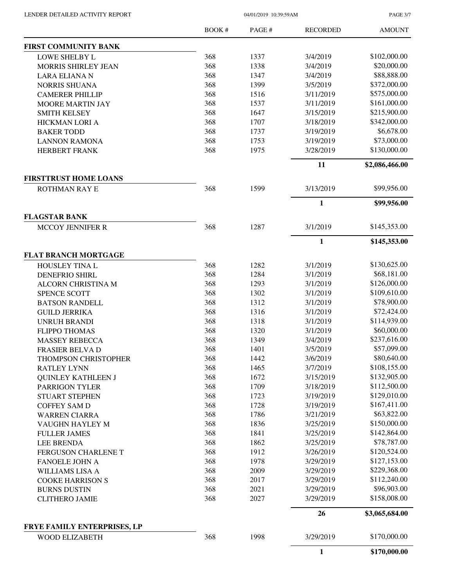PAGE 3/7

|                                               | <b>BOOK#</b> | PAGE# | <b>RECORDED</b> | <b>AMOUNT</b>  |
|-----------------------------------------------|--------------|-------|-----------------|----------------|
| <b>FIRST COMMUNITY BANK</b>                   |              |       |                 |                |
| <b>LOWE SHELBY L</b>                          | 368          | 1337  | 3/4/2019        | \$102,000.00   |
| <b>MORRIS SHIRLEY JEAN</b>                    | 368          | 1338  | 3/4/2019        | \$20,000.00    |
| <b>LARA ELIANA N</b>                          | 368          | 1347  | 3/4/2019        | \$88,888.00    |
| <b>NORRIS SHUANA</b>                          | 368          | 1399  | 3/5/2019        | \$372,000.00   |
| <b>CAMERER PHILLIP</b>                        | 368          | 1516  | 3/11/2019       | \$575,000.00   |
| <b>MOORE MARTIN JAY</b>                       | 368          | 1537  | 3/11/2019       | \$161,000.00   |
| <b>SMITH KELSEY</b>                           | 368          | 1647  | 3/15/2019       | \$215,900.00   |
| HICKMAN LORI A                                | 368          | 1707  | 3/18/2019       | \$342,000.00   |
| <b>BAKER TODD</b>                             | 368          | 1737  | 3/19/2019       | \$6,678.00     |
| <b>LANNON RAMONA</b>                          | 368          | 1753  | 3/19/2019       | \$73,000.00    |
| <b>HERBERT FRANK</b>                          | 368          | 1975  | 3/28/2019       | \$130,000.00   |
|                                               |              |       | 11              | \$2,086,466.00 |
| <b>FIRSTTRUST HOME LOANS</b>                  |              |       |                 |                |
| ROTHMAN RAY E                                 | 368          | 1599  | 3/13/2019       | \$99,956.00    |
| <b>FLAGSTAR BANK</b>                          |              |       | $\mathbf{1}$    | \$99,956.00    |
| <b>MCCOY JENNIFER R</b>                       | 368          | 1287  | 3/1/2019        | \$145,353.00   |
|                                               |              |       | $\mathbf{1}$    | \$145,353.00   |
| <b>FLAT BRANCH MORTGAGE</b>                   |              |       |                 |                |
| <b>HOUSLEY TINA L</b>                         | 368          | 1282  | 3/1/2019        | \$130,625.00   |
| <b>DENEFRIO SHIRL</b>                         | 368          | 1284  | 3/1/2019        | \$68,181.00    |
| ALCORN CHRISTINA M                            | 368          | 1293  | 3/1/2019        | \$126,000.00   |
| SPENCE SCOTT                                  | 368          | 1302  | 3/1/2019        | \$109,610.00   |
| <b>BATSON RANDELL</b>                         | 368          | 1312  | 3/1/2019        | \$78,900.00    |
| <b>GUILD JERRIKA</b>                          | 368          | 1316  | 3/1/2019        | \$72,424.00    |
| <b>UNRUH BRANDI</b>                           | 368          | 1318  | 3/1/2019        | \$114,939.00   |
| <b>FLIPPO THOMAS</b>                          | 368          | 1320  | 3/1/2019        | \$60,000.00    |
| MASSEY REBECCA                                | 368          | 1349  | 3/4/2019        | \$237,616.00   |
| <b>FRASIER BELVA D</b>                        | 368          | 1401  | 3/5/2019        | \$57,099.00    |
| THOMPSON CHRISTOPHER                          | 368          | 1442  | 3/6/2019        | \$80,640.00    |
| <b>RATLEY LYNN</b>                            | 368          | 1465  | 3/7/2019        | \$108,155.00   |
| <b>QUINLEY KATHLEEN J</b>                     | 368          | 1672  | 3/15/2019       | \$132,905.00   |
| PARRIGON TYLER                                | 368          | 1709  | 3/18/2019       | \$112,500.00   |
| <b>STUART STEPHEN</b>                         | 368          | 1723  | 3/19/2019       | \$129,010.00   |
| <b>COFFEY SAM D</b>                           | 368          | 1728  | 3/19/2019       | \$167,411.00   |
| <b>WARREN CIARRA</b>                          | 368          | 1786  | 3/21/2019       | \$63,822.00    |
| VAUGHN HAYLEY M                               | 368          | 1836  | 3/25/2019       | \$150,000.00   |
|                                               | 368          | 1841  | 3/25/2019       | \$142,864.00   |
| <b>FULLER JAMES</b>                           |              |       |                 | \$78,787.00    |
| <b>LEE BRENDA</b>                             | 368          | 1862  | 3/25/2019       |                |
| FERGUSON CHARLENE T                           | 368          | 1912  | 3/26/2019       | \$120,524.00   |
| FANOELE JOHN A                                | 368          | 1978  | 3/29/2019       | \$127,153.00   |
| <b>WILLIAMS LISA A</b>                        | 368          | 2009  | 3/29/2019       | \$229,368.00   |
| <b>COOKE HARRISON S</b>                       | 368          | 2017  | 3/29/2019       | \$112,240.00   |
| <b>BURNS DUSTIN</b>                           | 368          | 2021  | 3/29/2019       | \$96,903.00    |
| <b>CLITHERO JAMIE</b>                         | 368          | 2027  | 3/29/2019       | \$158,008.00   |
|                                               |              |       | 26              | \$3,065,684.00 |
| FRYE FAMILY ENTERPRISES, LP<br>WOOD ELIZABETH | 368          | 1998  | 3/29/2019       | \$170,000.00   |
|                                               |              |       |                 |                |
|                                               |              |       | $\mathbf{1}$    | \$170,000.00   |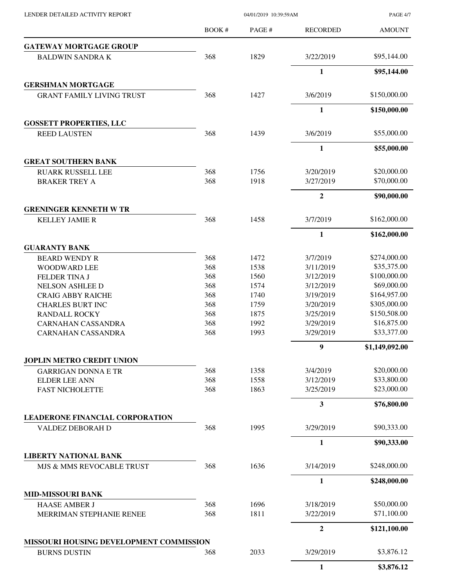|                                                                   | <b>BOOK#</b> | PAGE #       | <b>RECORDED</b>         | <b>AMOUNT</b>              |
|-------------------------------------------------------------------|--------------|--------------|-------------------------|----------------------------|
| <b>GATEWAY MORTGAGE GROUP</b>                                     |              |              |                         |                            |
| <b>BALDWIN SANDRA K</b>                                           | 368          | 1829         | 3/22/2019               | \$95,144.00                |
|                                                                   |              |              | 1                       | \$95,144.00                |
| <b>GERSHMAN MORTGAGE</b>                                          |              |              |                         |                            |
| <b>GRANT FAMILY LIVING TRUST</b>                                  | 368          | 1427         | 3/6/2019                | \$150,000.00               |
|                                                                   |              |              | $\mathbf{1}$            | \$150,000.00               |
| <b>GOSSETT PROPERTIES, LLC</b>                                    |              |              |                         |                            |
| <b>REED LAUSTEN</b>                                               | 368          | 1439         | 3/6/2019                | \$55,000.00                |
|                                                                   |              |              | $\mathbf{1}$            | \$55,000.00                |
| <b>GREAT SOUTHERN BANK</b>                                        |              |              |                         |                            |
| <b>RUARK RUSSELL LEE</b>                                          | 368          | 1756         | 3/20/2019               | \$20,000.00                |
| <b>BRAKER TREY A</b>                                              | 368          | 1918         | 3/27/2019               | \$70,000.00                |
|                                                                   |              |              | $\boldsymbol{2}$        | \$90,000.00                |
| <b>GRENINGER KENNETH W TR</b><br><b>KELLEY JAMIE R</b>            | 368          | 1458         | 3/7/2019                | \$162,000.00               |
|                                                                   |              |              |                         |                            |
| <b>GUARANTY BANK</b>                                              |              |              | $\mathbf{1}$            | \$162,000.00               |
| <b>BEARD WENDY R</b>                                              | 368          | 1472         | 3/7/2019                | \$274,000.00               |
| <b>WOODWARD LEE</b>                                               | 368          | 1538         | 3/11/2019               | \$35,375.00                |
| <b>FELDER TINA J</b>                                              | 368          | 1560         | 3/12/2019               | \$100,000.00               |
| <b>NELSON ASHLEE D</b>                                            | 368          | 1574         | 3/12/2019               | \$69,000.00                |
| <b>CRAIG ABBY RAICHE</b>                                          | 368          | 1740         | 3/19/2019               | \$164,957.00               |
| <b>CHARLES BURT INC</b>                                           | 368          | 1759         | 3/20/2019               | \$305,000.00               |
| <b>RANDALL ROCKY</b>                                              | 368          | 1875         | 3/25/2019               | \$150,508.00               |
|                                                                   |              |              |                         | \$16,875.00                |
| <b>CARNAHAN CASSANDRA</b><br><b>CARNAHAN CASSANDRA</b>            | 368<br>368   | 1992<br>1993 | 3/29/2019<br>3/29/2019  | \$33,377.00                |
|                                                                   |              |              |                         |                            |
|                                                                   |              |              | 9                       | \$1,149,092.00             |
| <b>JOPLIN METRO CREDIT UNION</b>                                  |              |              |                         |                            |
| <b>GARRIGAN DONNA E TR</b>                                        | 368          | 1358         | 3/4/2019                | \$20,000.00<br>\$33,800.00 |
| <b>ELDER LEE ANN</b>                                              | 368<br>368   | 1558<br>1863 | 3/12/2019               | \$23,000.00                |
| <b>FAST NICHOLETTE</b>                                            |              |              | 3/25/2019               |                            |
|                                                                   |              |              | $\overline{\mathbf{3}}$ | \$76,800.00                |
| <b>LEADERONE FINANCIAL CORPORATION</b><br><b>VALDEZ DEBORAH D</b> | 368          | 1995         | 3/29/2019               | \$90,333.00                |
|                                                                   |              |              | $\mathbf{1}$            | \$90,333.00                |
| <b>LIBERTY NATIONAL BANK</b>                                      |              |              |                         |                            |
| MJS & MMS REVOCABLE TRUST                                         | 368          | 1636         | 3/14/2019               | \$248,000.00               |
|                                                                   |              |              | 1                       | \$248,000.00               |
| <b>MID-MISSOURI BANK</b>                                          |              |              |                         |                            |
| <b>HAASE AMBER J</b>                                              | 368          | 1696         | 3/18/2019               | \$50,000.00                |
| MERRIMAN STEPHANIE RENEE                                          | 368          | 1811         | 3/22/2019               | \$71,100.00                |
|                                                                   |              |              | $\boldsymbol{2}$        | \$121,100.00               |
| MISSOURI HOUSING DEVELOPMENT COMMISSION                           |              |              |                         |                            |
| <b>BURNS DUSTIN</b>                                               | 368          | 2033         | 3/29/2019               | \$3,876.12                 |
|                                                                   |              |              | $\mathbf{1}$            | \$3,876.12                 |

PAGE 4/7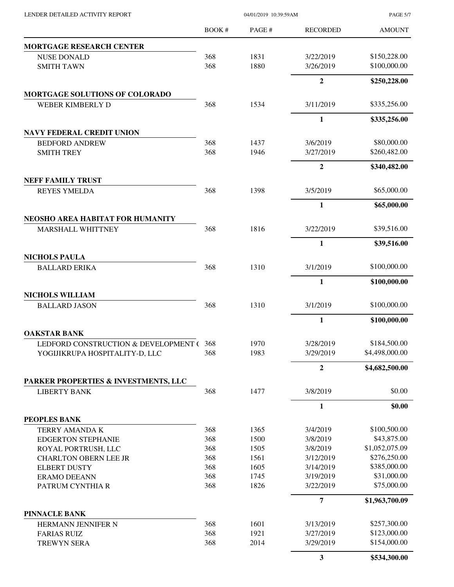| LENDER DETAILED ACTIVITY REPORT                | 04/01/2019 10:39:59AM |              |                         | <b>PAGE 5/7</b>             |
|------------------------------------------------|-----------------------|--------------|-------------------------|-----------------------------|
|                                                | <b>BOOK#</b>          | PAGE#        | <b>RECORDED</b>         | <b>AMOUNT</b>               |
| MORTGAGE RESEARCH CENTER                       |                       |              |                         |                             |
| <b>NUSE DONALD</b>                             | 368                   | 1831         | 3/22/2019               | \$150,228.00                |
| <b>SMITH TAWN</b>                              | 368                   | 1880         | 3/26/2019               | \$100,000.00                |
|                                                |                       |              | $\overline{2}$          | \$250,228.00                |
| <b>MORTGAGE SOLUTIONS OF COLORADO</b>          |                       |              |                         |                             |
| WEBER KIMBERLY D                               | 368                   | 1534         | 3/11/2019               | \$335,256.00                |
|                                                |                       |              | $\mathbf{1}$            | \$335,256.00                |
| <b>NAVY FEDERAL CREDIT UNION</b>               |                       |              |                         |                             |
| <b>BEDFORD ANDREW</b><br><b>SMITH TREY</b>     | 368<br>368            | 1437<br>1946 | 3/6/2019<br>3/27/2019   | \$80,000.00<br>\$260,482.00 |
|                                                |                       |              | $\boldsymbol{2}$        | \$340,482.00                |
| <b>NEFF FAMILY TRUST</b>                       |                       |              |                         |                             |
| <b>REYES YMELDA</b>                            | 368                   | 1398         | 3/5/2019                | \$65,000.00                 |
|                                                |                       |              | $\mathbf{1}$            | \$65,000.00                 |
| NEOSHO AREA HABITAT FOR HUMANITY               |                       |              |                         |                             |
| MARSHALL WHITTNEY                              | 368                   | 1816         | 3/22/2019               | \$39,516.00                 |
|                                                |                       |              | 1                       | \$39,516.00                 |
| <b>NICHOLS PAULA</b>                           |                       |              |                         |                             |
| <b>BALLARD ERIKA</b>                           | 368                   | 1310         | 3/1/2019                | \$100,000.00                |
|                                                |                       |              | $\mathbf{1}$            | \$100,000.00                |
| <b>NICHOLS WILLIAM</b><br><b>BALLARD JASON</b> | 368                   | 1310         | 3/1/2019                | \$100,000.00                |
|                                                |                       |              | $\mathbf{1}$            | \$100,000.00                |
| <b>OAKSTAR BANK</b>                            |                       |              |                         |                             |
| LEDFORD CONSTRUCTION & DEVELOPMENT ( 368       |                       | 1970         | 3/28/2019               | \$184,500.00                |
| YOGIJIKRUPA HOSPITALITY-D, LLC                 | 368                   | 1983         | 3/29/2019               | \$4,498,000.00              |
|                                                |                       |              | $\overline{2}$          | \$4,682,500.00              |
| PARKER PROPERTIES & INVESTMENTS, LLC           |                       |              |                         |                             |
| <b>LIBERTY BANK</b>                            | 368                   | 1477         | 3/8/2019                | \$0.00                      |
|                                                |                       |              | $\mathbf{1}$            | \$0.00                      |
| <b>PEOPLES BANK</b>                            |                       |              |                         |                             |
| TERRY AMANDA K                                 | 368                   | 1365         | 3/4/2019                | \$100,500.00                |
| <b>EDGERTON STEPHANIE</b>                      | 368                   | 1500         | 3/8/2019                | \$43,875.00                 |
| ROYAL PORTRUSH, LLC                            | 368                   | 1505         | 3/8/2019                | \$1,052,075.09              |
| <b>CHARLTON OBERN LEE JR</b>                   | 368                   | 1561         | 3/12/2019               | \$276,250.00                |
| <b>ELBERT DUSTY</b>                            | 368                   | 1605         | 3/14/2019               | \$385,000.00                |
| <b>ERAMO DEEANN</b>                            | 368                   | 1745         | 3/19/2019               | \$31,000.00                 |
| PATRUM CYNTHIA R                               | 368                   | 1826         | 3/22/2019               | \$75,000.00                 |
| <b>PINNACLE BANK</b>                           |                       |              | $\overline{7}$          | \$1,963,700.09              |
| HERMANN JENNIFER N                             | 368                   | 1601         | 3/13/2019               | \$257,300.00                |
| <b>FARIAS RUIZ</b>                             | 368                   | 1921         | 3/27/2019               | \$123,000.00                |
| <b>TREWYN SERA</b>                             | 368                   | 2014         | 3/29/2019               | \$154,000.00                |
|                                                |                       |              | $\overline{\mathbf{3}}$ | \$534,300.00                |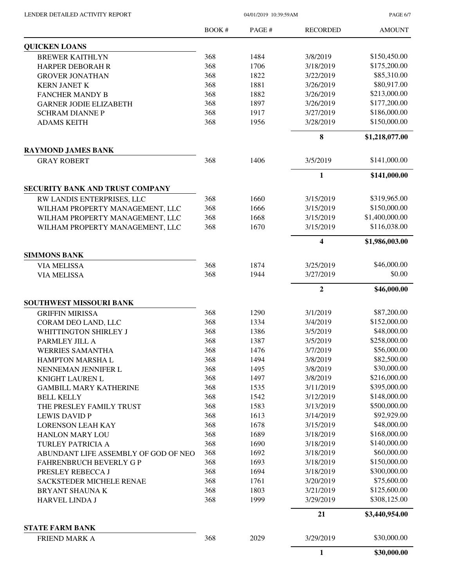PAGE 6/7

|                                      | <b>BOOK#</b> | PAGE# | <b>RECORDED</b> | <b>AMOUNT</b>  |
|--------------------------------------|--------------|-------|-----------------|----------------|
| <b>QUICKEN LOANS</b>                 |              |       |                 |                |
| <b>BREWER KAITHLYN</b>               | 368          | 1484  | 3/8/2019        | \$150,450.00   |
| HARPER DEBORAH R                     | 368          | 1706  | 3/18/2019       | \$175,200.00   |
| <b>GROVER JONATHAN</b>               | 368          | 1822  | 3/22/2019       | \$85,310.00    |
| <b>KERN JANET K</b>                  | 368          | 1881  | 3/26/2019       | \$80,917.00    |
| <b>FANCHER MANDY B</b>               | 368          | 1882  | 3/26/2019       | \$213,000.00   |
| <b>GARNER JODIE ELIZABETH</b>        | 368          | 1897  | 3/26/2019       | \$177,200.00   |
| <b>SCHRAM DIANNE P</b>               | 368          | 1917  | 3/27/2019       | \$186,000.00   |
| <b>ADAMS KEITH</b>                   | 368          | 1956  | 3/28/2019       | \$150,000.00   |
|                                      |              |       | 8               | \$1,218,077.00 |
| <b>RAYMOND JAMES BANK</b>            |              |       |                 |                |
| <b>GRAY ROBERT</b>                   | 368          | 1406  | 3/5/2019        | \$141,000.00   |
|                                      |              |       | $\mathbf{1}$    | \$141,000.00   |
| SECURITY BANK AND TRUST COMPANY      |              |       |                 |                |
| RW LANDIS ENTERPRISES, LLC           | 368          | 1660  | 3/15/2019       | \$319,965.00   |
| WILHAM PROPERTY MANAGEMENT, LLC      | 368          | 1666  | 3/15/2019       | \$150,000.00   |
| WILHAM PROPERTY MANAGEMENT, LLC      | 368          | 1668  | 3/15/2019       | \$1,400,000.00 |
| WILHAM PROPERTY MANAGEMENT, LLC      | 368          | 1670  | 3/15/2019       | \$116,038.00   |
|                                      |              |       | 4               | \$1,986,003.00 |
| <b>SIMMONS BANK</b>                  |              |       |                 |                |
| <b>VIA MELISSA</b>                   | 368          | 1874  | 3/25/2019       | \$46,000.00    |
| <b>VIA MELISSA</b>                   | 368          | 1944  | 3/27/2019       | \$0.00         |
|                                      |              |       | $\overline{2}$  | \$46,000.00    |
| <b>SOUTHWEST MISSOURI BANK</b>       |              |       |                 |                |
| <b>GRIFFIN MIRISSA</b>               | 368          | 1290  | 3/1/2019        | \$87,200.00    |
| CORAM DEO LAND, LLC                  | 368          | 1334  | 3/4/2019        | \$152,000.00   |
| WHITTINGTON SHIRLEY J                | 368          | 1386  | 3/5/2019        | \$48,000.00    |
| PARMLEY JILL A                       | 368          | 1387  | 3/5/2019        | \$258,000.00   |
| WERRIES SAMANTHA                     | 368          | 1476  | 3/7/2019        | \$56,000.00    |
| <b>HAMPTON MARSHAL</b>               | 368          | 1494  | 3/8/2019        | \$82,500.00    |
| NENNEMAN JENNIFER L                  | 368          | 1495  | 3/8/2019        | \$30,000.00    |
| KNIGHT LAUREN L                      | 368          | 1497  | 3/8/2019        | \$216,000.00   |
| <b>GAMBILL MARY KATHERINE</b>        | 368          | 1535  | 3/11/2019       | \$395,000.00   |
| <b>BELL KELLY</b>                    | 368          | 1542  | 3/12/2019       | \$148,000.00   |
| THE PRESLEY FAMILY TRUST             | 368          | 1583  | 3/13/2019       | \$500,000.00   |
| <b>LEWIS DAVID P</b>                 | 368          | 1613  | 3/14/2019       | \$92,929.00    |
| <b>LORENSON LEAH KAY</b>             | 368          | 1678  | 3/15/2019       | \$48,000.00    |
| <b>HANLON MARY LOU</b>               | 368          | 1689  | 3/18/2019       | \$168,000.00   |
| TURLEY PATRICIA A                    | 368          | 1690  | 3/18/2019       | \$140,000.00   |
| ABUNDANT LIFE ASSEMBLY OF GOD OF NEO | 368          | 1692  | 3/18/2019       | \$60,000.00    |
| FAHRENBRUCH BEVERLY G P              | 368          | 1693  | 3/18/2019       | \$150,000.00   |
| PRESLEY REBECCA J                    | 368          | 1694  | 3/18/2019       | \$300,000.00   |
| SACKSTEDER MICHELE RENAE             | 368          | 1761  | 3/20/2019       | \$75,600.00    |
| <b>BRYANT SHAUNA K</b>               | 368          | 1803  | 3/21/2019       | \$125,600.00   |
| HARVEL LINDA J                       | 368          | 1999  | 3/29/2019       | \$308,125.00   |
|                                      |              |       | 21              | \$3,440,954.00 |
| <b>STATE FARM BANK</b>               |              |       |                 |                |
| FRIEND MARK A                        | 368          | 2029  | 3/29/2019       | \$30,000.00    |
|                                      |              |       | 1               | \$30,000.00    |